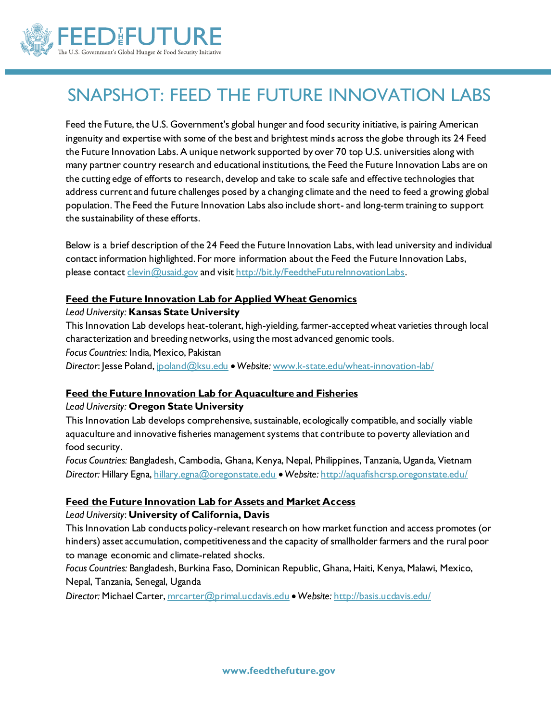

# SNAPSHOT: FEED THE FUTURE INNOVATION LABS

Feed the Future, the U.S. Government's global hunger and food security initiative, is pairing American ingenuity and expertise with some of the best and brightest minds across the globe through its 24 Feed the Future Innovation Labs. A unique network supported by over 70 top U.S. universities along with many partner country research and educational institutions, the Feed the Future Innovation Labs are on the cutting edge of efforts to research, develop and take to scale safe and effective technologies that address current and future challenges posed by a changing climate and the need to feed a growing global population. The Feed the Future Innovation Labs also include short- and long-term training to support the sustainability of these efforts.

Below is a brief description of the 24 Feed the Future Innovation Labs, with lead university and individual contact information highlighted. For more information about the Feed the Future Innovation Labs, please contac[t clevin@usaid.gov](mailto:clevin@usaid.gov) and visi[t http://bit.ly/FeedtheFutureInnovationLabs](http://bit.ly/FeedtheFutureInnovationLabs).

#### **Feed the Future Innovation Lab for Applied Wheat Genomics**

*Lead University:* **Kansas State University**

This Innovation Lab develops heat-tolerant, high-yielding, farmer-accepted wheat varieties through local characterization and breeding networks, using the most advanced genomic tools.

*Focus Countries:* India, Mexico, Pakistan

*Director*: Jesse Poland[, jpoland@ksu.edu](mailto:jpoland@ksu.edu) *Website:* [www.k-state.edu/wheat-innovation-lab/](http://www.k-state.edu/wheat-innovation-lab/)

#### **Feed the Future Innovation Lab for Aquaculture and Fisheries**

#### *Lead University:* **Oregon State University**

This Innovation Lab develops comprehensive, sustainable, ecologically compatible, and socially viable aquaculture and innovative fisheries management systems that contribute to poverty alleviation and food security.

*Focus Countries:* Bangladesh, Cambodia, Ghana, Kenya, Nepal, Philippines, Tanzania, Uganda, Vietnam *Director:* Hillary Egna[, hillary.egna@oregonstate.edu](mailto:hillary.egna@oregonstate.edu) *Website:* <http://aquafishcrsp.oregonstate.edu/>

#### **Feed the Future Innovation Lab for Assets and Market Access**

#### *Lead University*: **University of California, Davis**

This Innovation Lab conducts policy-relevant research on how market function and access promotes (or hinders) asset accumulation, competitiveness and the capacity of smallholder farmers and the rural poor to manage economic and climate-related shocks.

*Focus Countries:* Bangladesh, Burkina Faso, Dominican Republic, Ghana, Haiti, Kenya, Malawi, Mexico, Nepal, Tanzania, Senegal, Uganda

*Director:* Michael Carter[, mrcarter@primal.ucdavis.edu](mailto:mrcarter@primal.ucdavis.edu) *Website:* <http://basis.ucdavis.edu/>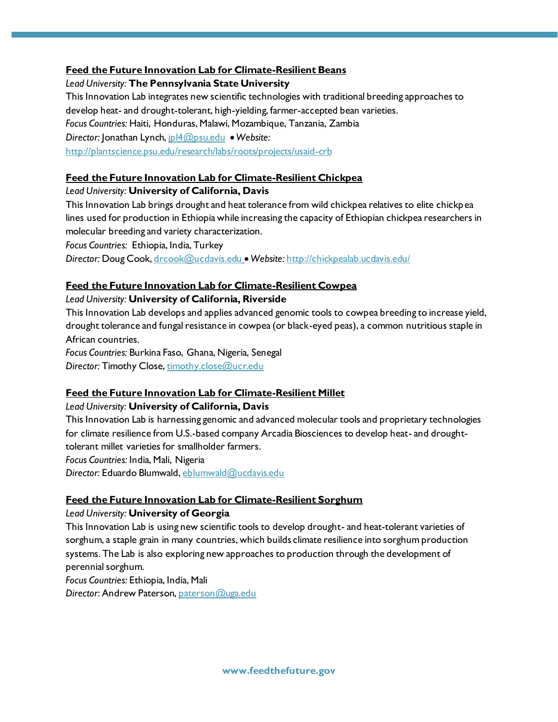#### **Feed the Future Innovation Lab for Climate-Resilient Beans**

*Lead University:* **The Pennsylvania State University**

This Innovation Lab integrates new scientific technologies with traditional breeding approaches to develop heat- and drought-tolerant, high-yielding, farmer-accepted bean varieties. *Focus Countries:* Haiti, Honduras, Malawi, Mozambique, Tanzania, Zambia *Director:* Jonathan Lynch[, jpl4@psu.edu](mailto:jpl4@psu.edu) • Website: <http://plantscience.psu.edu/research/labs/roots/projects/usaid-crb>

#### **Feed the Future Innovation Lab for Climate-Resilient Chickpea**

#### *Lead University:* **University of California, Davis**

This Innovation Lab brings drought and heat tolerance from wild chickpea relatives to elite chickpea lines used for production in Ethiopia while increasing the capacity of Ethiopian chickpea researchers in molecular breeding and variety characterization.

*Focus Countries:* Ethiopia, India, Turkey

*Director:* Doug Cook[, drcook@ucdavis.edu](mailto:drcook@ucdavis.edu) *Website:* <http://chickpealab.ucdavis.edu/>

#### **Feed the Future Innovation Lab for Climate-Resilient Cowpea**

#### *Lead University:* **University of California, Riverside**

This Innovation Lab develops and applies advanced genomic tools to cowpea breeding to increase yield, drought tolerance and fungal resistance in cowpea (or black-eyed peas), a common nutritious staple in African countries.

*Focus Countries:* Burkina Faso, Ghana, Nigeria, Senegal *Director:* Timothy Close[, timothy.close@ucr.edu](mailto:timothy.close@ucr.edu)

#### **Feed the Future Innovation Lab for Climate-Resilient Millet**

#### *Lead University:* **University of California, Davis**

This Innovation Lab is harnessing genomic and advanced molecular tools and proprietary technologies for climate resilience from U.S.-based company Arcadia Biosciences to develop heat- and droughttolerant millet varieties for smallholder farmers.

*Focus Countries:* India, Mali, Nigeria

*Director:* Eduardo Blumwald[, eblumwald@ucdavis.edu](mailto:eblumwald@ucdavis.edu)

#### **Feed the Future Innovation Lab for Climate-Resilient Sorghum**

#### *Lead University:* **University of Georgia**

This Innovation Lab is using new scientific tools to develop drought- and heat-tolerant varieties of sorghum, a staple grain in many countries, which builds climate resilience into sorghum production systems. The Lab is also exploring new approaches to production through the development of perennial sorghum.

*Focus Countries:* Ethiopia, India, Mali

*Director*: Andrew Paterson[, paterson@uga.edu](mailto:paterson@uga.edu)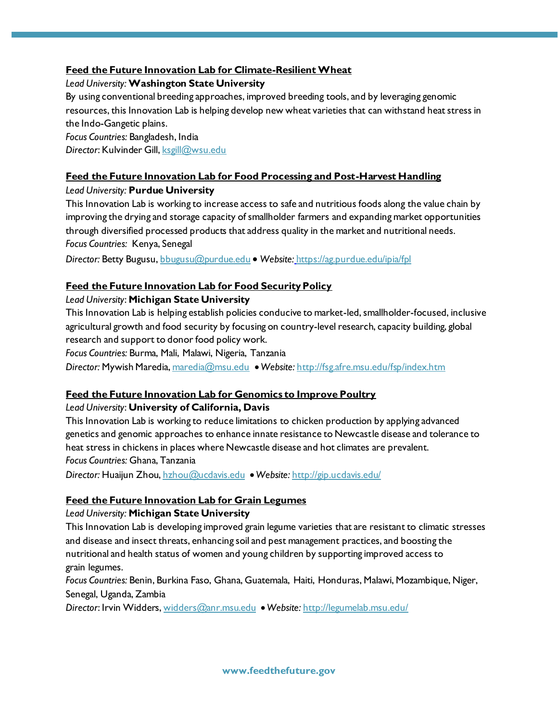## **Feed the Future Innovation Lab for Climate-Resilient Wheat**

## *Lead University:* **Washington State University**

By using conventional breeding approaches, improved breeding tools, and by leveraging genomic resources, this Innovation Lab is helping develop new wheat varieties that can withstand heat stress in the Indo-Gangetic plains.

*Focus Countries:* Bangladesh, India *Director*: Kulvinder Gill[, ksgill@wsu.edu](mailto:ksgill@wsu.edu)

# **Feed the Future Innovation Lab for Food Processing and Post-Harvest Handling**

#### *Lead University:* **Purdue University**

This Innovation Lab is working to increase access to safe and nutritious foods along the value chain by improving the drying and storage capacity of smallholder farmers and expanding market opportunities through diversified processed products that address quality in the market and nutritional needs. *Focus Countries:* Kenya, Senegal

*Director:* Betty Bugusu[, bbugusu@purdue.edu](mailto:bbugusu@purdue.edu) *Website:* h[ttps://ag.purdue.edu/ipia/fpl](https://ag.purdue.edu/ipia/fpl)

# **Feed the Future Innovation Lab for Food Security Policy**

#### *Lead University*: **Michigan State University**

This Innovation Lab is helping establish policies conducive to market-led, smallholder-focused, inclusive agricultural growth and food security by focusing on country-level research, capacity building, global research and support to donor food policy work.

*Focus Countries:* Burma, Mali, Malawi, Nigeria, Tanzania

*Director:* Mywish Maredia[, maredia@msu.edu](mailto:maredia@msu.edu) *Website:* <http://fsg.afre.msu.edu/fsp/index.htm>

#### **Feed the Future Innovation Lab for Genomics to Improve Poultry**

#### *Lead University*: **University of California, Davis**

This Innovation Lab is working to reduce limitations to chicken production by applying advanced genetics and genomic approaches to enhance innate resistance to Newcastle disease and tolerance to heat stress in chickens in places where Newcastle disease and hot climates are prevalent. *Focus Countries:* Ghana, Tanzania

*Director:* Huaijun Zhou[, hzhou@ucdavis.edu](mailto:hzhou@ucdavis.edu) *Website:* <http://gip.ucdavis.edu/>

# **Feed the Future Innovation Lab for Grain Legumes**

#### *Lead University:* **Michigan State University**

This Innovation Lab is developing improved grain legume varieties that are resistant to climatic stresses and disease and insect threats, enhancing soil and pest management practices, and boosting the nutritional and health status of women and young children by supporting improved access to grain legumes.

*Focus Countries:* Benin, Burkina Faso, Ghana, Guatemala, Haiti, Honduras, Malawi, Mozambique, Niger, Senegal, Uganda, Zambia

*Director*: Irvin Widders[, widders@anr.msu.edu](mailto:widders@anr.msu.edu) *Website:* <http://legumelab.msu.edu/>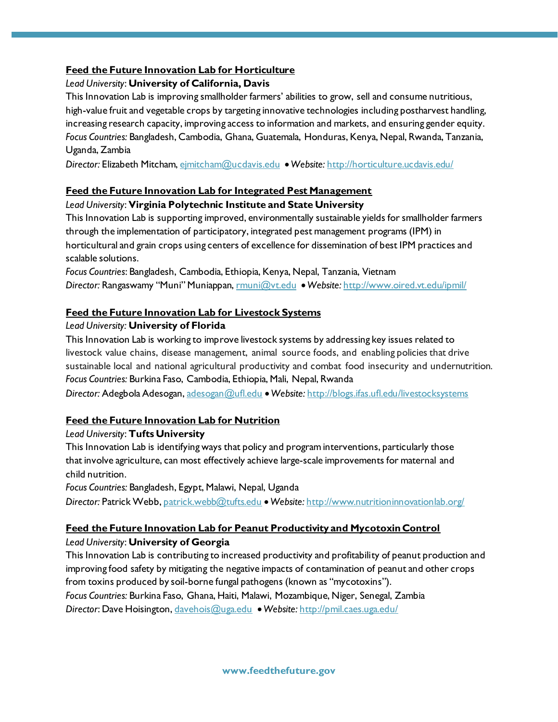## **Feed the Future Innovation Lab for Horticulture**

## *Lead University*: **University of California, Davis**

This Innovation Lab is improving smallholder farmers' abilities to grow, sell and consume nutritious, high-value fruit and vegetable crops by targeting innovative technologies including postharvest handling, increasing research capacity, improving access to information and markets, and ensuring gender equity. *Focus Countries:* Bangladesh, Cambodia, Ghana, Guatemala, Honduras, Kenya, Nepal, Rwanda, Tanzania, Uganda, Zambia

*Director:* Elizabeth Mitcham[, ejmitcham@ucdavis.edu](mailto:ejmitcham@ucdavis.edu) *Website:* <http://horticulture.ucdavis.edu/>

# **Feed the Future Innovation Lab for Integrated Pest Management**

#### *Lead University*: **Virginia Polytechnic Institute and State University**

This Innovation Lab is supporting improved, environmentally sustainable yields for smallholder farmers through the implementation of participatory, integrated pest management programs (IPM) in horticultural and grain crops using centers of excellence for dissemination of best IPM practices and scalable solutions.

*Focus Countries*: Bangladesh, Cambodia, Ethiopia, Kenya, Nepal, Tanzania, Vietnam *Director:* Rangaswamy "Muni" Muniappan, [rmuni@vt.edu](mailto:rmuni@vt.edu) *Website:* <http://www.oired.vt.edu/ipmil/>

# **Feed the Future Innovation Lab for Livestock Systems**

#### *Lead University:* **University of Florida**

This Innovation Lab is working to improve livestock systems by addressing key issues related to livestock value chains, disease management, animal source foods, and enabling policies that drive sustainable local and national agricultural productivity and combat food insecurity and undernutrition. *Focus Countries:* Burkina Faso, Cambodia, Ethiopia, Mali, Nepal, Rwanda Director: Adegbola Adesogan[, adesogan@ufl.edu](mailto:adesogan@ufl.edu) • Website: <http://blogs.ifas.ufl.edu/livestocksystems>

#### **Feed the Future Innovation Lab for Nutrition**

#### *Lead University*: **Tufts University**

This Innovation Lab is identifying ways that policy and program interventions, particularly those that involve agriculture, can most effectively achieve large-scale improvements for maternal and child nutrition.

*Focus Countries:* Bangladesh, Egypt, Malawi, Nepal, Uganda

*Director:* Patrick Webb[, patrick.webb@tufts.edu](mailto:patrick.webb@tufts.edu) *Website:* <http://www.nutritioninnovationlab.org/>

# **Feed the Future Innovation Lab for Peanut Productivity and Mycotoxin Control**

*Lead University*: **University of Georgia**

This Innovation Lab is contributing to increased productivity and profitability of peanut production and improving food safety by mitigating the negative impacts of contamination of peanut and other crops from toxins produced by soil-borne fungal pathogens (known as "mycotoxins").

*Focus Countries:* Burkina Faso, Ghana, Haiti, Malawi, Mozambique, Niger, Senegal, Zambia *Director*: Dave Hoisington[, davehois@uga.edu](mailto:davehois@uga.edu) *Website:* <http://pmil.caes.uga.edu/>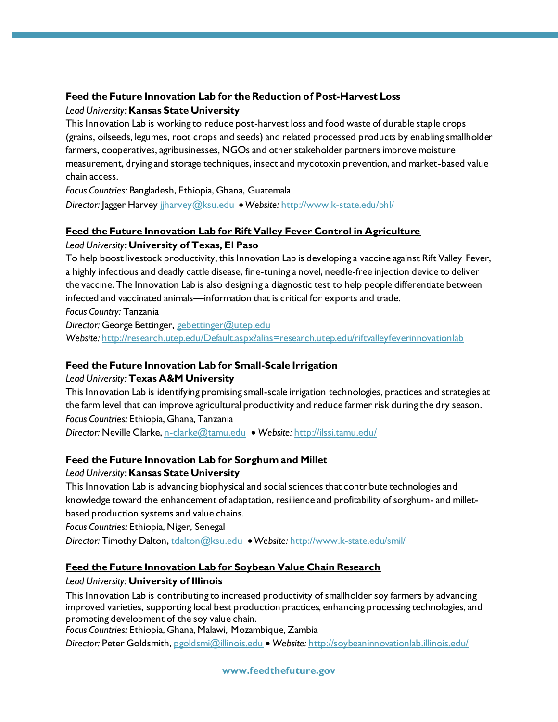# **Feed the Future Innovation Lab for the Reduction of Post-Harvest Loss**

# *Lead University*: **Kansas State University**

This Innovation Lab is working to reduce post-harvest loss and food waste of durable staple crops (grains, oilseeds, legumes, root crops and seeds) and related processed products by enabling smallholder farmers, cooperatives, agribusinesses, NGOs and other stakeholder partners improve moisture measurement, drying and storage techniques, insect and mycotoxin prevention, and market-based value chain access.

*Focus Countries:* Bangladesh, Ethiopia, Ghana, Guatemala *Director:* Jagger Harvey jjharvey@ksu.edu *Website:* <http://www.k-state.edu/phl/>

#### **Feed the Future Innovation Lab for Rift Valley Fever Control in Agriculture**

#### *Lead University*: **University of Texas, El Paso**

To help boost livestock productivity, this Innovation Lab is developing a vaccine against Rift Valley Fever, a highly infectious and deadly cattle disease, fine-tuning a novel, needle-free injection device to deliver the vaccine. The Innovation Lab is also designing a diagnostic test to help people differentiate between infected and vaccinated animals—information that is critical for exports and trade. *Focus Country:* Tanzania

*Director:* George Bettinger, [gebettinger@utep.edu](mailto:gebettinger@utep.edu) Website: <http://research.utep.edu/Default.aspx?alias=research.utep.edu/riftvalleyfeverinnovationlab>

#### **Feed the Future Innovation Lab for Small-Scale Irrigation**

*Lead University:* **Texas A&M University**

This Innovation Lab is identifying promising small-scale irrigation technologies, practices and strategies at the farm level that can improve agricultural productivity and reduce farmer risk during the dry season. *Focus Countries:* Ethiopia, Ghana, Tanzania

*Director:* Neville Clarke[, n-clarke@tamu.edu](mailto:n-clarke@tamu.edu) *Website:* <http://ilssi.tamu.edu/>

#### **Feed the Future Innovation Lab for Sorghum and Millet**

*Lead University*: **Kansas State University**

This Innovation Lab is advancing biophysical and social sciences that contribute technologies and knowledge toward the enhancement of adaptation, resilience and profitability of sorghum- and milletbased production systems and value chains.

*Focus Countries:* Ethiopia, Niger, Senegal

*Director:* Timothy Dalton[, tdalton@ksu.edu](mailto:tdalton@ksu.edu) *Website:* <http://www.k-state.edu/smil/>

#### **Feed the Future Innovation Lab for Soybean Value Chain Research**

#### *Lead University:* **University of Illinois**

This Innovation Lab is contributing to increased productivity of smallholder soy farmers by advancing improved varieties, supporting local best production practices, enhancing processing technologies, and promoting development of the soy value chain.

*Focus Countries:* Ethiopia, Ghana, Malawi, Mozambique, Zambia

*Director:* Peter Goldsmith[, pgoldsmi@illinois.edu](mailto:pgoldsmi@illinois.edu) *Website:* <http://soybeaninnovationlab.illinois.edu/>